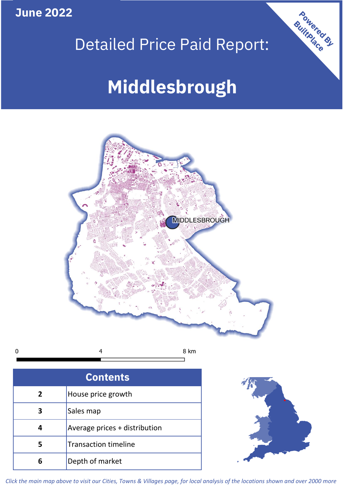**June 2022**

# Detailed Price Paid Report:

# **Middlesbrough**



|  | 8 km |
|--|------|
|  |      |

| <b>Contents</b> |                               |  |  |
|-----------------|-------------------------------|--|--|
| $\overline{2}$  | House price growth            |  |  |
| 3               | Sales map                     |  |  |
| Δ               | Average prices + distribution |  |  |
|                 | <b>Transaction timeline</b>   |  |  |
|                 | Depth of market               |  |  |



Powered By

*Click the main map above to visit our Cities, Towns & Villages page, for local analysis of the locations shown and over 2000 more*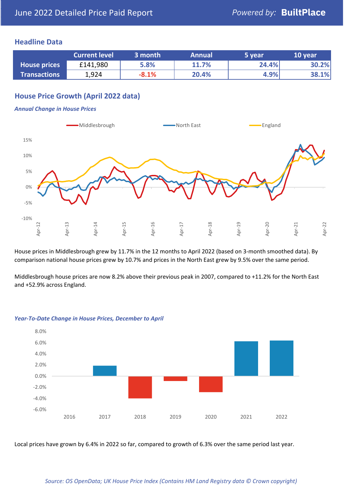### **Headline Data**

|                     | <b>Current level</b> | 3 month | <b>Annual</b> | 5 year | 10 year |
|---------------------|----------------------|---------|---------------|--------|---------|
| <b>House prices</b> | £141,980             | 5.8%    | 11.7%         | 24.4%  | 30.2%   |
| <b>Transactions</b> | 1,924                | $-8.1%$ | 20.4%         | 4.9%   | 38.1%   |

# **House Price Growth (April 2022 data)**

#### *Annual Change in House Prices*



House prices in Middlesbrough grew by 11.7% in the 12 months to April 2022 (based on 3-month smoothed data). By comparison national house prices grew by 10.7% and prices in the North East grew by 9.5% over the same period.

Middlesbrough house prices are now 8.2% above their previous peak in 2007, compared to +11.2% for the North East and +52.9% across England.



#### *Year-To-Date Change in House Prices, December to April*

Local prices have grown by 6.4% in 2022 so far, compared to growth of 6.3% over the same period last year.

#### *Source: OS OpenData; UK House Price Index (Contains HM Land Registry data © Crown copyright)*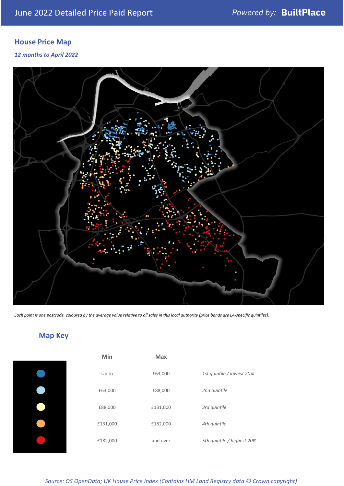# **House Price Map**

*12 months to April 2022*



*Each point is one postcode, coloured by the average value relative to all sales in this local authority (price bands are LA-specific quintiles).*

**Map Key**

| Min      | <b>Max</b> |                            |
|----------|------------|----------------------------|
| Up to    | £63,000    | 1st quintile / lowest 20%  |
| £63,000  | £88,000    | 2nd quintile               |
| £88,000  | £131,000   | 3rd quintile               |
| £131,000 | £182,000   | 4th quintile               |
| £182,000 | and over   | 5th quintile / highest 20% |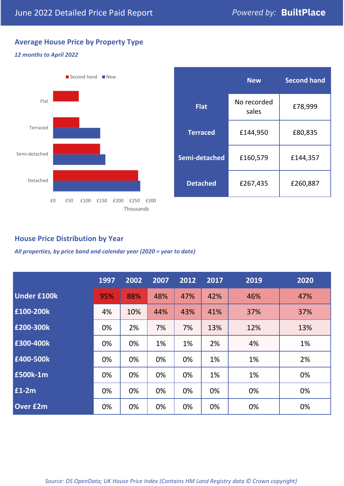# **Average House Price by Property Type**

# *12 months to April 2022*



|                 | <b>New</b>           | <b>Second hand</b> |  |  |
|-----------------|----------------------|--------------------|--|--|
| <b>Flat</b>     | No recorded<br>sales | £78,999            |  |  |
| <b>Terraced</b> | £144,950             | £80,835            |  |  |
| Semi-detached   | £160,579             | £144,357           |  |  |
| <b>Detached</b> | £267,435             | £260,887           |  |  |

# **House Price Distribution by Year**

*All properties, by price band and calendar year (2020 = year to date)*

|                    | 1997 | 2002 | 2007 | 2012 | 2017 | 2019 | 2020 |
|--------------------|------|------|------|------|------|------|------|
| <b>Under £100k</b> | 95%  | 88%  | 48%  | 47%  | 42%  | 46%  | 47%  |
| £100-200k          | 4%   | 10%  | 44%  | 43%  | 41%  | 37%  | 37%  |
| £200-300k          | 0%   | 2%   | 7%   | 7%   | 13%  | 12%  | 13%  |
| £300-400k          | 0%   | 0%   | 1%   | 1%   | 2%   | 4%   | 1%   |
| £400-500k          | 0%   | 0%   | 0%   | 0%   | 1%   | 1%   | 2%   |
| £500k-1m           | 0%   | 0%   | 0%   | 0%   | 1%   | 1%   | 0%   |
| £1-2m              | 0%   | 0%   | 0%   | 0%   | 0%   | 0%   | 0%   |
| <b>Over £2m</b>    | 0%   | 0%   | 0%   | 0%   | 0%   | 0%   | 0%   |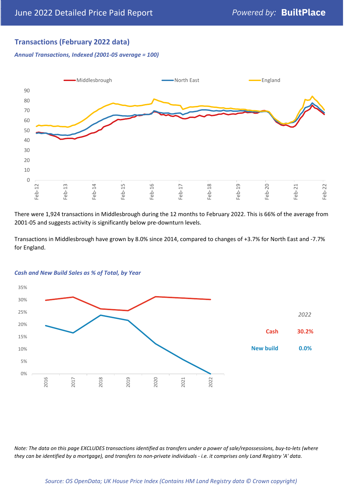# **Transactions (February 2022 data)**

*Annual Transactions, Indexed (2001-05 average = 100)*



There were 1,924 transactions in Middlesbrough during the 12 months to February 2022. This is 66% of the average from 2001-05 and suggests activity is significantly below pre-downturn levels.

Transactions in Middlesbrough have grown by 8.0% since 2014, compared to changes of +3.7% for North East and -7.7% for England.



#### *Cash and New Build Sales as % of Total, by Year*

*Note: The data on this page EXCLUDES transactions identified as transfers under a power of sale/repossessions, buy-to-lets (where they can be identified by a mortgage), and transfers to non-private individuals - i.e. it comprises only Land Registry 'A' data.*